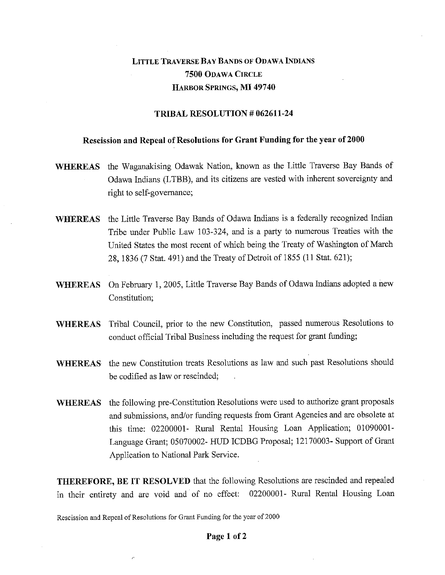# LITTLE TRAVERSE BAY BANDS OF ODAWA INDIANS **7500** ODAWA CIRCLE HARBOR SPRINGS, MI **49740**

### **TRIBAL RESOLUTION # 062611-24**

## **Rescission and Repeal of Resolutions for Grant Funding for the year of 2000**

- **WHEREAS** the Waganakising Odawak Nation, known as the Little Traverse Bay Bands of Odawa Indians (LTBB), and its citizens are vested with inherent sovereignty and right to self-governance;
- **WHEREAS** the Little Traverse Bay Bands of Odawa Indians is a federally recognized Indian Tribe under Public Law 103-324, and is a party to numerous Treaties with the United States the most recent of which being the Treaty of Washington of March 28, 1836 (7 Stat. 491) and the Treaty of Detroit of 1855 (11 Stat. 621);
- **WHEREAS** On February 1, 2005, Little Traverse Bay Bands of Odawa Indians adopted a new Constitution;
- **WHEREAS** Tribal Council, prior to the new Constitution, passed numerous Resolutions to conduct official Tribal Business including the request for grant funding;
- **WHEREAS** the new Constitution treats Resolutions as law and such past Resolutions should be codified as law or rescinded;
- **WHEREAS** the following pre-Constitution Resolutions were used to authorize grant proposals and submissions, and/or funding requests from Grant Agencies and are obsolete at this time: 02200001- Rural Rental Housing Loan Application; 01090001- Language Grant; 05070002- HUD ICDBG Proposal; 12170003- Support of Grant Application to National Park Service.

**THEREFORE, BE IT RESOLVED** that the following Resolutions are rescinded and repealed in their entirety and are void and of no effect: 02200001- Rural Rental Housing Loan

Rescission and Repeal of Resolutions for Grant Funding for the year of 2000

#### **Page 1 of 2**